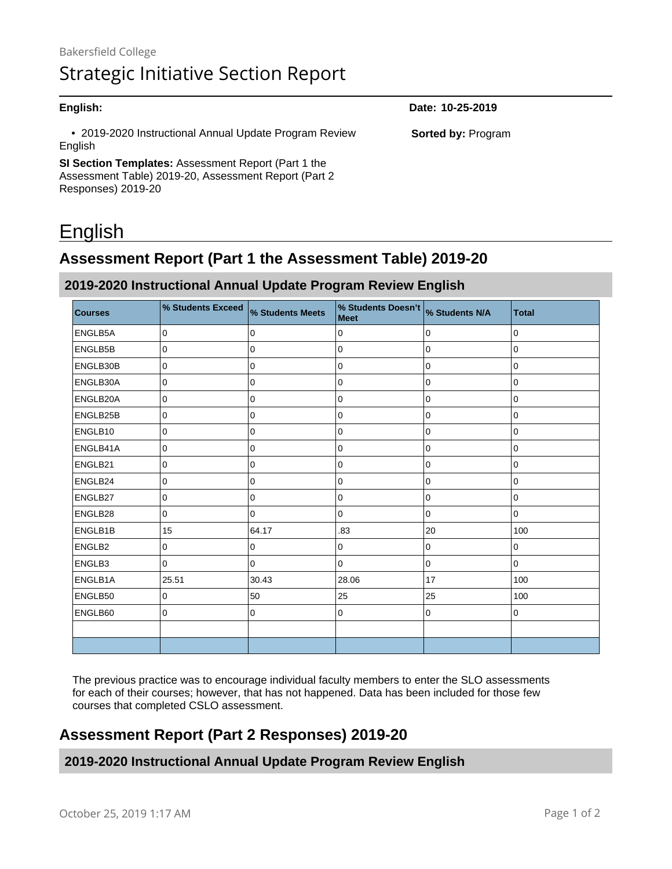| English:                                                          | Date: 10-25-2019          |
|-------------------------------------------------------------------|---------------------------|
| • 2019-2020 Instructional Annual Update Program Review<br>English | <b>Sorted by: Program</b> |
| SI Section Templates: Assessment Report (Part 1 the               |                           |
| Assessment Table) 2019-20, Assessment Report (Part 2              |                           |

# English

Responses) 2019-20

## **Assessment Report (Part 1 the Assessment Table) 2019-20**

#### **2019-2020 Instructional Annual Update Program Review English**

| <b>Courses</b> | % Students Exceed | % Students Meets | % Students Doesn't % Students N/A<br><b>Meet</b> |             | <b>Total</b> |
|----------------|-------------------|------------------|--------------------------------------------------|-------------|--------------|
| ENGLB5A        | 0                 | 0                | 0                                                | 0           | 0            |
| ENGLB5B        | 0                 | $\mathbf 0$      | 0                                                | 0           | 0            |
| ENGLB30B       | $\mathbf 0$       | $\mathbf 0$      | 0                                                | $\mathbf 0$ | 0            |
| ENGLB30A       | $\mathbf 0$       | 0                | 0                                                | 0           | 0            |
| ENGLB20A       | 0                 | 0                | 0                                                | 0           | 0            |
| ENGLB25B       | 0                 | 0                | 0                                                | 0           | 0            |
| ENGLB10        | $\pmb{0}$         | $\pmb{0}$        | $\pmb{0}$                                        | 0           | 0            |
| ENGLB41A       | 0                 | 0                | 0                                                | $\mathbf 0$ | 0            |
| ENGLB21        | 0                 | 0                | $\pmb{0}$                                        | 0           | 0            |
| ENGLB24        | 0                 | $\mathbf 0$      | 0                                                | 0           | 0            |
| ENGLB27        | $\mathbf 0$       | $\mathsf 0$      | 0                                                | 0           | 0            |
| ENGLB28        | 0                 | $\mathbf 0$      | 0                                                | 0           | 0            |
| ENGLB1B        | 15                | 64.17            | .83                                              | 20          | 100          |
| ENGLB2         | $\mathbf 0$       | 0                | 0                                                | 0           | 0            |
| ENGLB3         | $\mathbf 0$       | 0                | 0                                                | 0           | 0            |
| ENGLB1A        | 25.51             | 30.43            | 28.06                                            | 17          | 100          |
| ENGLB50        | 0                 | 50               | 25                                               | 25          | 100          |
| ENGLB60        | $\mathbf 0$       | $\pmb{0}$        | 0                                                | $\mathbf 0$ | 0            |
|                |                   |                  |                                                  |             |              |
|                |                   |                  |                                                  |             |              |

The previous practice was to encourage individual faculty members to enter the SLO assessments for each of their courses; however, that has not happened. Data has been included for those few courses that completed CSLO assessment.

## **Assessment Report (Part 2 Responses) 2019-20**

**2019-2020 Instructional Annual Update Program Review English**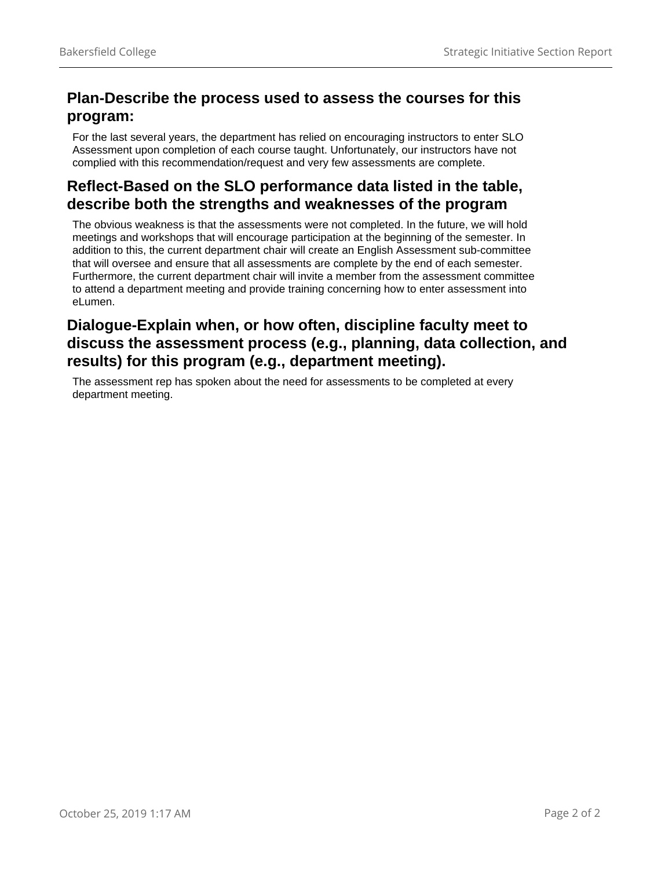#### **Plan-Describe the process used to assess the courses for this program:**

For the last several years, the department has relied on encouraging instructors to enter SLO Assessment upon completion of each course taught. Unfortunately, our instructors have not complied with this recommendation/request and very few assessments are complete.

#### **Reflect-Based on the SLO performance data listed in the table, describe both the strengths and weaknesses of the program**

The obvious weakness is that the assessments were not completed. In the future, we will hold meetings and workshops that will encourage participation at the beginning of the semester. In addition to this, the current department chair will create an English Assessment sub-committee that will oversee and ensure that all assessments are complete by the end of each semester. Furthermore, the current department chair will invite a member from the assessment committee to attend a department meeting and provide training concerning how to enter assessment into eLumen.

#### **Dialogue-Explain when, or how often, discipline faculty meet to discuss the assessment process (e.g., planning, data collection, and results) for this program (e.g., department meeting).**

The assessment rep has spoken about the need for assessments to be completed at every department meeting.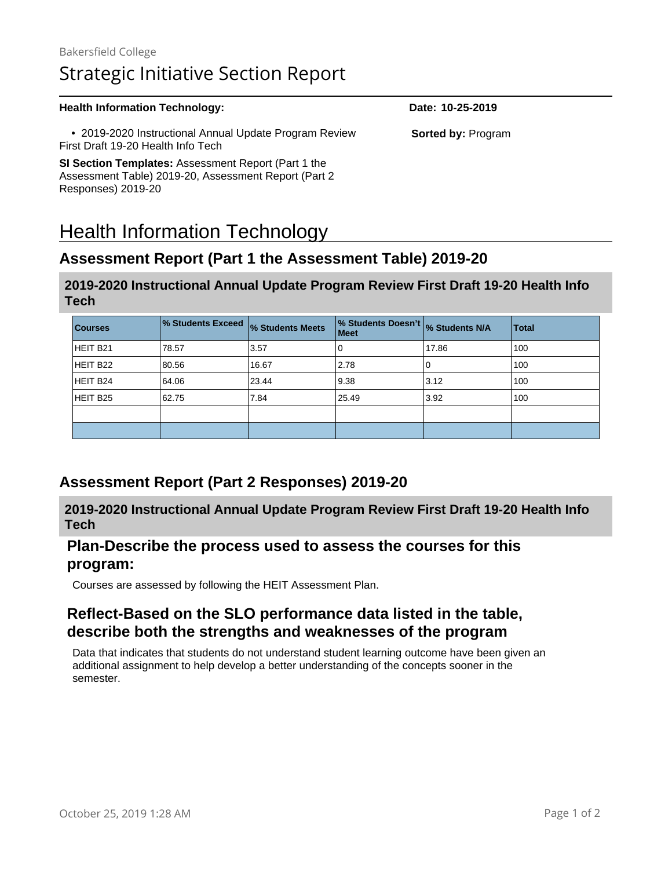## Bakersfield College Strategic Initiative Section Report

#### **Health Information Technology: Date: 10-25-2019**  • 2019-2020 Instructional Annual Update Program Review First Draft 19-20 Health Info Tech **SI Section Templates:** Assessment Report (Part 1 the Assessment Table) 2019-20, Assessment Report (Part 2 Responses) 2019-20 **Sorted by:** Program

# Health Information Technology

#### **Assessment Report (Part 1 the Assessment Table) 2019-20**

#### **2019-2020 Instructional Annual Update Program Review First Draft 19-20 Health Info Tech**

| <b>Courses</b> | % Students Exceed % Students Meets |       | % Students Doesn't % Students N/A<br><b>Meet</b> |       | <b>Total</b> |
|----------------|------------------------------------|-------|--------------------------------------------------|-------|--------------|
| HEIT B21       | 78.57                              | 3.57  | 0                                                | 17.86 | 100          |
| HEIT B22       | 80.56                              | 16.67 | 2.78                                             | 0     | 100          |
| HEIT B24       | 64.06                              | 23.44 | 9.38                                             | 3.12  | 100          |
| HEIT B25       | 62.75                              | 7.84  | 25.49                                            | 3.92  | 100          |
|                |                                    |       |                                                  |       |              |
|                |                                    |       |                                                  |       |              |

#### **Assessment Report (Part 2 Responses) 2019-20**

**2019-2020 Instructional Annual Update Program Review First Draft 19-20 Health Info Tech**

#### **Plan-Describe the process used to assess the courses for this program:**

Courses are assessed by following the HEIT Assessment Plan.

#### **Reflect-Based on the SLO performance data listed in the table, describe both the strengths and weaknesses of the program**

Data that indicates that students do not understand student learning outcome have been given an additional assignment to help develop a better understanding of the concepts sooner in the semester.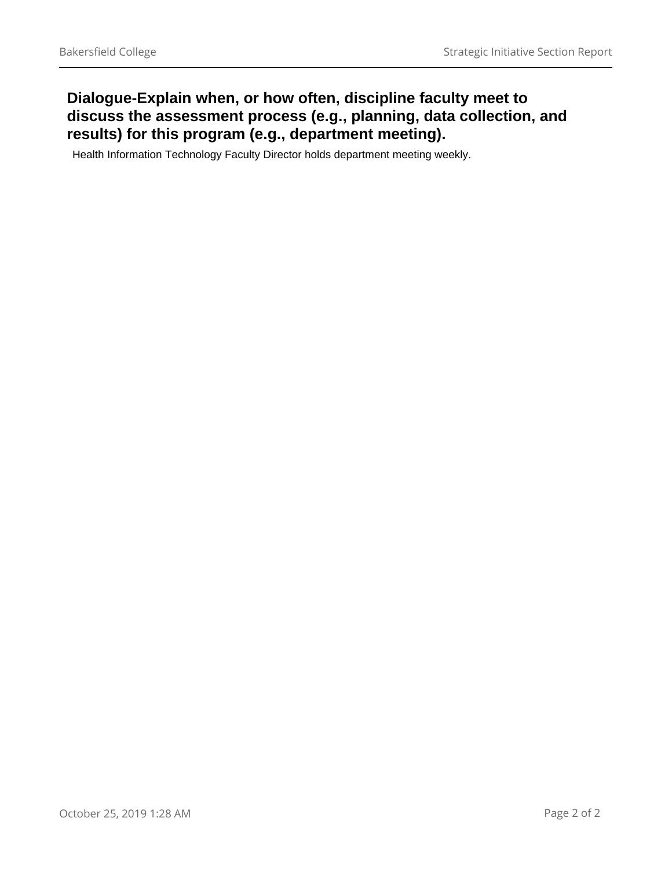#### **Dialogue-Explain when, or how often, discipline faculty meet to discuss the assessment process (e.g., planning, data collection, and results) for this program (e.g., department meeting).**

Health Information Technology Faculty Director holds department meeting weekly.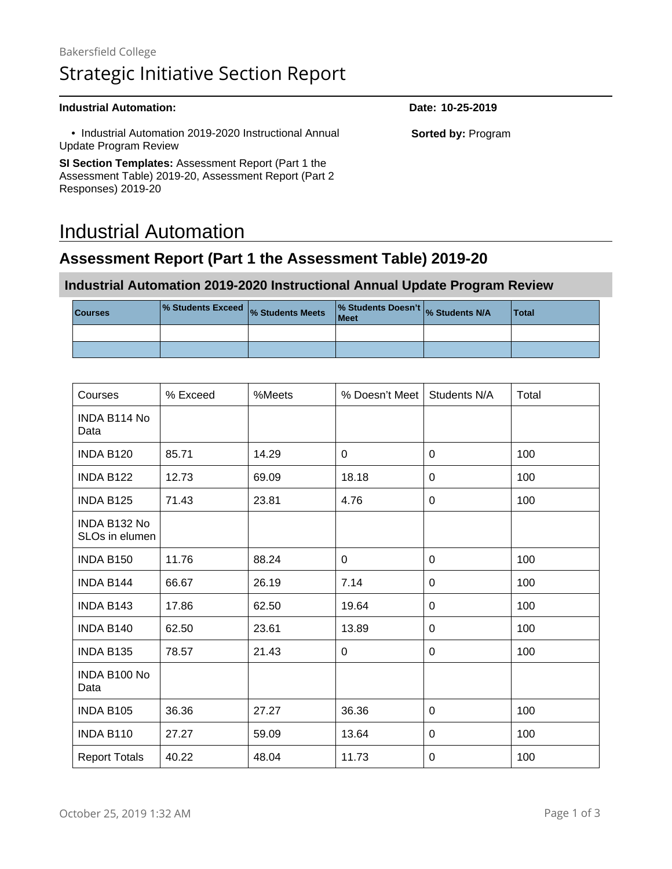## Bakersfield College Strategic Initiative Section Report

#### **Industrial Automation: Date: 10-25-2019**

 • Industrial Automation 2019-2020 Instructional Annual Update Program Review

**SI Section Templates:** Assessment Report (Part 1 the Assessment Table) 2019-20, Assessment Report (Part 2 Responses) 2019-20

## Industrial Automation

#### **Assessment Report (Part 1 the Assessment Table) 2019-20**

#### **Industrial Automation 2019-2020 Instructional Annual Update Program Review**

| <b>Courses</b> | <b>No. Students Exceed</b> <sub>%</sub> Students Meets <sup>17</sup> | % Students Doesn't % Students N/A<br>Meet | Total |
|----------------|----------------------------------------------------------------------|-------------------------------------------|-------|
|                |                                                                      |                                           |       |
|                |                                                                      |                                           |       |

| Courses                        | % Exceed | %Meets | % Doesn't Meet | Students N/A | Total |
|--------------------------------|----------|--------|----------------|--------------|-------|
| INDA B114 No<br>Data           |          |        |                |              |       |
| INDA B120                      | 85.71    | 14.29  | 0              | 0            | 100   |
| INDA B122                      | 12.73    | 69.09  | 18.18          | 0            | 100   |
| <b>INDA B125</b>               | 71.43    | 23.81  | 4.76           | $\Omega$     | 100   |
| INDA B132 No<br>SLOs in elumen |          |        |                |              |       |
| INDA B150                      | 11.76    | 88.24  | $\mathbf{0}$   | $\Omega$     | 100   |
| <b>INDA B144</b>               | 66.67    | 26.19  | 7.14           | 0            | 100   |
| <b>INDA B143</b>               | 17.86    | 62.50  | 19.64          | 0            | 100   |
| INDA B140                      | 62.50    | 23.61  | 13.89          | 0            | 100   |
| INDA B135                      | 78.57    | 21.43  | $\Omega$       | 0            | 100   |
| INDA B100 No<br>Data           |          |        |                |              |       |
| INDA B105                      | 36.36    | 27.27  | 36.36          | 0            | 100   |
| INDA B110                      | 27.27    | 59.09  | 13.64          | 0            | 100   |
| <b>Report Totals</b>           | 40.22    | 48.04  | 11.73          | 0            | 100   |

**Sorted by:** Program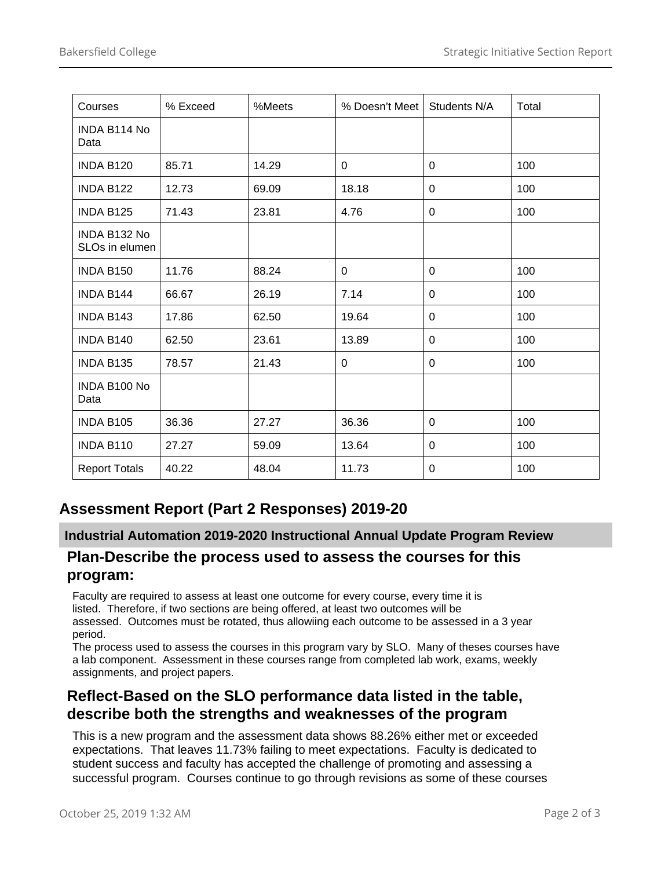| Courses                        | % Exceed | %Meets | % Doesn't Meet | Students N/A | Total |
|--------------------------------|----------|--------|----------------|--------------|-------|
| INDA B114 No<br>Data           |          |        |                |              |       |
| INDA B120                      | 85.71    | 14.29  | 0              | 0            | 100   |
| INDA B122                      | 12.73    | 69.09  | 18.18          | 0            | 100   |
| INDA B125                      | 71.43    | 23.81  | 4.76           | 0            | 100   |
| INDA B132 No<br>SLOs in elumen |          |        |                |              |       |
| INDA B150                      | 11.76    | 88.24  | $\Omega$       | $\Omega$     | 100   |
| INDA B144                      | 66.67    | 26.19  | 7.14           | $\Omega$     | 100   |
| INDA B143                      | 17.86    | 62.50  | 19.64          | 0            | 100   |
| INDA B140                      | 62.50    | 23.61  | 13.89          | 0            | 100   |
| INDA B135                      | 78.57    | 21.43  | 0              | 0            | 100   |
| INDA B100 No<br>Data           |          |        |                |              |       |
| INDA B105                      | 36.36    | 27.27  | 36.36          | 0            | 100   |
| INDA B110                      | 27.27    | 59.09  | 13.64          | 0            | 100   |
| <b>Report Totals</b>           | 40.22    | 48.04  | 11.73          | 0            | 100   |

## **Assessment Report (Part 2 Responses) 2019-20**

#### **Industrial Automation 2019-2020 Instructional Annual Update Program Review**

#### **Plan-Describe the process used to assess the courses for this program:**

Faculty are required to assess at least one outcome for every course, every time it is listed. Therefore, if two sections are being offered, at least two outcomes will be assessed. Outcomes must be rotated, thus allowiing each outcome to be assessed in a 3 year period.

The process used to assess the courses in this program vary by SLO. Many of theses courses have a lab component. Assessment in these courses range from completed lab work, exams, weekly assignments, and project papers.

#### **Reflect-Based on the SLO performance data listed in the table, describe both the strengths and weaknesses of the program**

This is a new program and the assessment data shows 88.26% either met or exceeded expectations. That leaves 11.73% failing to meet expectations. Faculty is dedicated to student success and faculty has accepted the challenge of promoting and assessing a successful program. Courses continue to go through revisions as some of these courses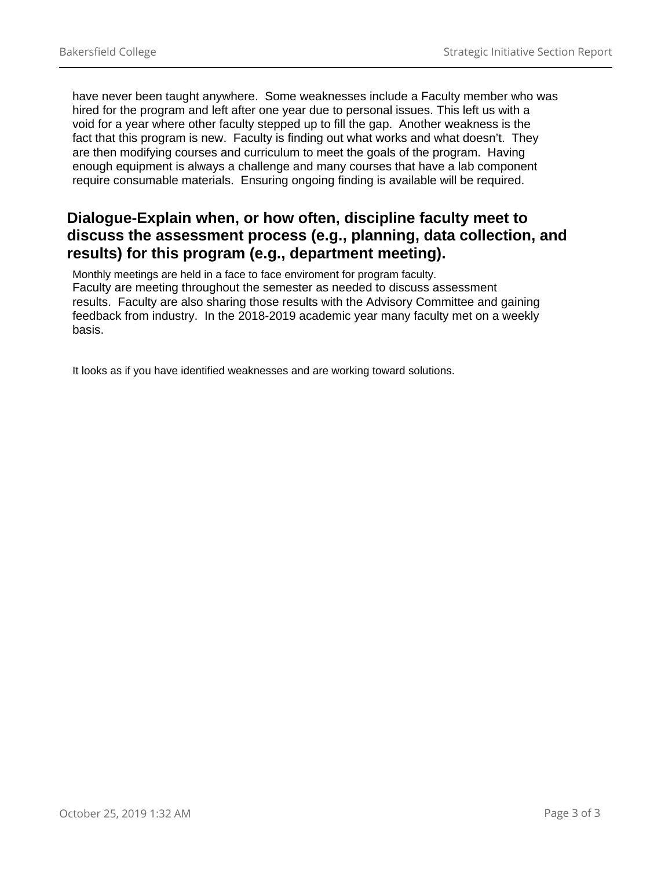have never been taught anywhere. Some weaknesses include a Faculty member who was hired for the program and left after one year due to personal issues. This left us with a void for a year where other faculty stepped up to fill the gap. Another weakness is the fact that this program is new. Faculty is finding out what works and what doesn't. They are then modifying courses and curriculum to meet the goals of the program. Having enough equipment is always a challenge and many courses that have a lab component require consumable materials. Ensuring ongoing finding is available will be required.

#### **Dialogue-Explain when, or how often, discipline faculty meet to discuss the assessment process (e.g., planning, data collection, and results) for this program (e.g., department meeting).**

Monthly meetings are held in a face to face enviroment for program faculty. Faculty are meeting throughout the semester as needed to discuss assessment results. Faculty are also sharing those results with the Advisory Committee and gaining feedback from industry. In the 2018-2019 academic year many faculty met on a weekly basis.

It looks as if you have identified weaknesses and are working toward solutions.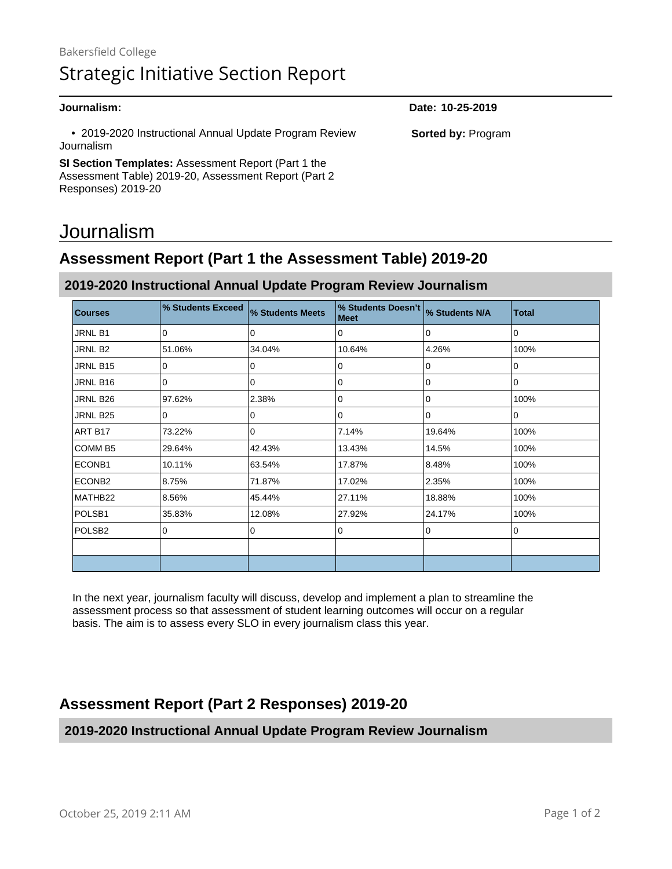• 2019-2020 Instructional Annual Update Program Review Journalism

**SI Section Templates:** Assessment Report (Part 1 the Assessment Table) 2019-20, Assessment Report (Part 2 Responses) 2019-20

## Journalism

## **Assessment Report (Part 1 the Assessment Table) 2019-20**

#### **2019-2020 Instructional Annual Update Program Review Journalism**

| <b>Courses</b>     | % Students Exceed | % Students Meets | % Students Doesn't<br><b>Meet</b> | % Students N/A | <b>Total</b> |
|--------------------|-------------------|------------------|-----------------------------------|----------------|--------------|
| JRNL B1            | $\Omega$          | 0                | 0                                 | $\Omega$       | $\Omega$     |
| JRNL B2            | 51.06%            | 34.04%           | 10.64%                            | 4.26%          | 100%         |
| JRNL B15           | 0                 | 0                | 0                                 | 0              | 0            |
| JRNL B16           | 0                 | 0                | 0                                 | $\mathbf 0$    | 0            |
| JRNL B26           | 97.62%            | 2.38%            | 0                                 | 0              | 100%         |
| JRNL B25           | 0                 | 0                | 0                                 | 0              | 0            |
| ART B17            | 73.22%            | 0                | 7.14%                             | 19.64%         | 100%         |
| COMM <sub>B5</sub> | 29.64%            | 42.43%           | 13.43%                            | 14.5%          | 100%         |
| ECONB1             | 10.11%            | 63.54%           | 17.87%                            | 8.48%          | 100%         |
| ECONB <sub>2</sub> | 8.75%             | 71.87%           | 17.02%                            | 2.35%          | 100%         |
| MATHB22            | 8.56%             | 45.44%           | 27.11%                            | 18.88%         | 100%         |
| POLSB <sub>1</sub> | 35.83%            | 12.08%           | 27.92%                            | 24.17%         | 100%         |
| POLSB <sub>2</sub> | 0                 | 0                | 0                                 | $\Omega$       | 0            |
|                    |                   |                  |                                   |                |              |
|                    |                   |                  |                                   |                |              |

In the next year, journalism faculty will discuss, develop and implement a plan to streamline the assessment process so that assessment of student learning outcomes will occur on a regular basis. The aim is to assess every SLO in every journalism class this year.

#### **Assessment Report (Part 2 Responses) 2019-20**

#### **2019-2020 Instructional Annual Update Program Review Journalism**

**Journalism: Date: 10-25-2019**

**Sorted by:** Program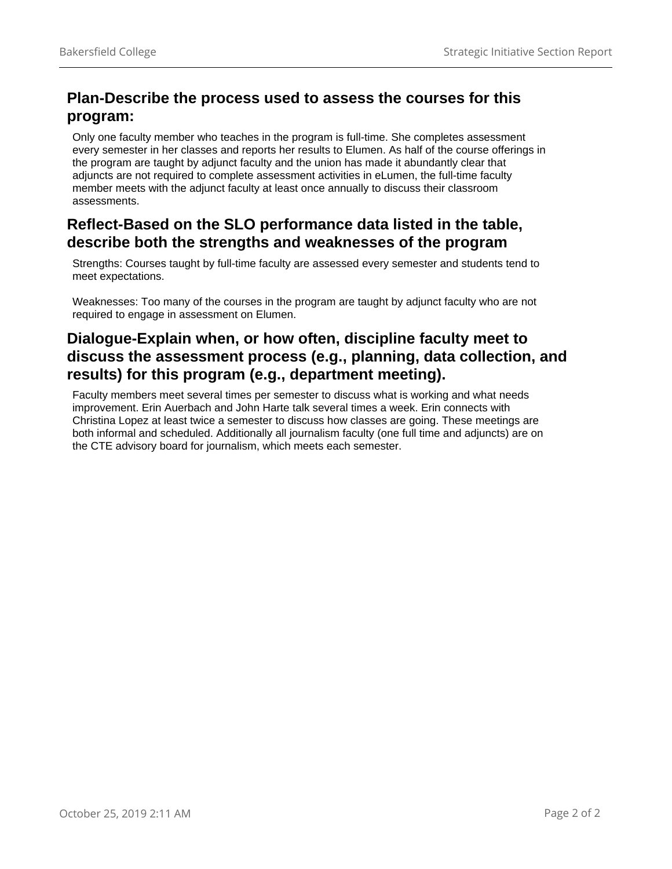#### **Plan-Describe the process used to assess the courses for this program:**

Only one faculty member who teaches in the program is full-time. She completes assessment every semester in her classes and reports her results to Elumen. As half of the course offerings in the program are taught by adjunct faculty and the union has made it abundantly clear that adjuncts are not required to complete assessment activities in eLumen, the full-time faculty member meets with the adjunct faculty at least once annually to discuss their classroom assessments.

#### **Reflect-Based on the SLO performance data listed in the table, describe both the strengths and weaknesses of the program**

Strengths: Courses taught by full-time faculty are assessed every semester and students tend to meet expectations.

Weaknesses: Too many of the courses in the program are taught by adjunct faculty who are not required to engage in assessment on Elumen.

#### **Dialogue-Explain when, or how often, discipline faculty meet to discuss the assessment process (e.g., planning, data collection, and results) for this program (e.g., department meeting).**

Faculty members meet several times per semester to discuss what is working and what needs improvement. Erin Auerbach and John Harte talk several times a week. Erin connects with Christina Lopez at least twice a semester to discuss how classes are going. These meetings are both informal and scheduled. Additionally all journalism faculty (one full time and adjuncts) are on the CTE advisory board for journalism, which meets each semester.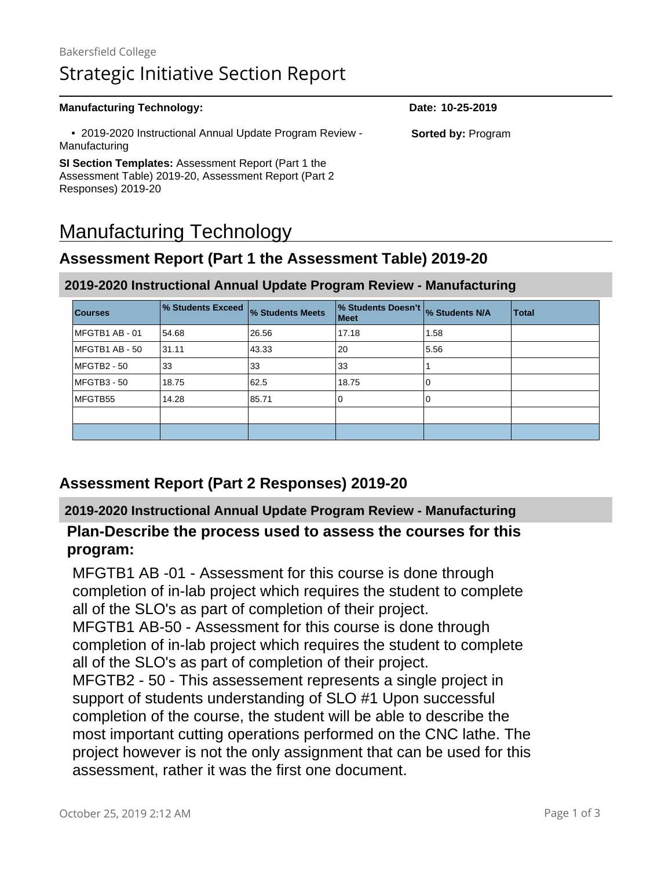## Bakersfield College Strategic Initiative Section Report

#### **Manufacturing Technology: Date: 10-25-2019** • 2019-2020 Instructional Annual Update Program Review - Manufacturing **SI Section Templates:** Assessment Report (Part 1 the Assessment Table) 2019-20, Assessment Report (Part 2 Responses) 2019-20 **Sorted by:** Program

# Manufacturing Technology

## **Assessment Report (Part 1 the Assessment Table) 2019-20**

# **Courses % Students Exceed % Students Meets % Students Doesn't Meet % Students N/A Total** MFGTB1 AB - 01 54.68 26.56 17.18 1.58 MFGTB1 AB - 50 31.11 43.33 20 35.56 MFGTB2 - 50 33 33 33 1 MFGTB3 - 50 | 18.75 | 62.5 | 18.75 | 0 MFGTB55 | 14.28 | 85.71 | 0 | 0 | 0

#### **2019-2020 Instructional Annual Update Program Review - Manufacturing**

## **Assessment Report (Part 2 Responses) 2019-20**

#### **2019-2020 Instructional Annual Update Program Review - Manufacturing**

#### **Plan-Describe the process used to assess the courses for this program:**

MFGTB1 AB -01 - Assessment for this course is done through completion of in-lab project which requires the student to complete all of the SLO's as part of completion of their project. MFGTB1 AB-50 - Assessment for this course is done through completion of in-lab project which requires the student to complete all of the SLO's as part of completion of their project. MFGTB2 - 50 - This assessement represents a single project in support of students understanding of SLO #1 Upon successful completion of the course, the student will be able to describe the most important cutting operations performed on the CNC lathe. The project however is not the only assignment that can be used for this assessment, rather it was the first one document.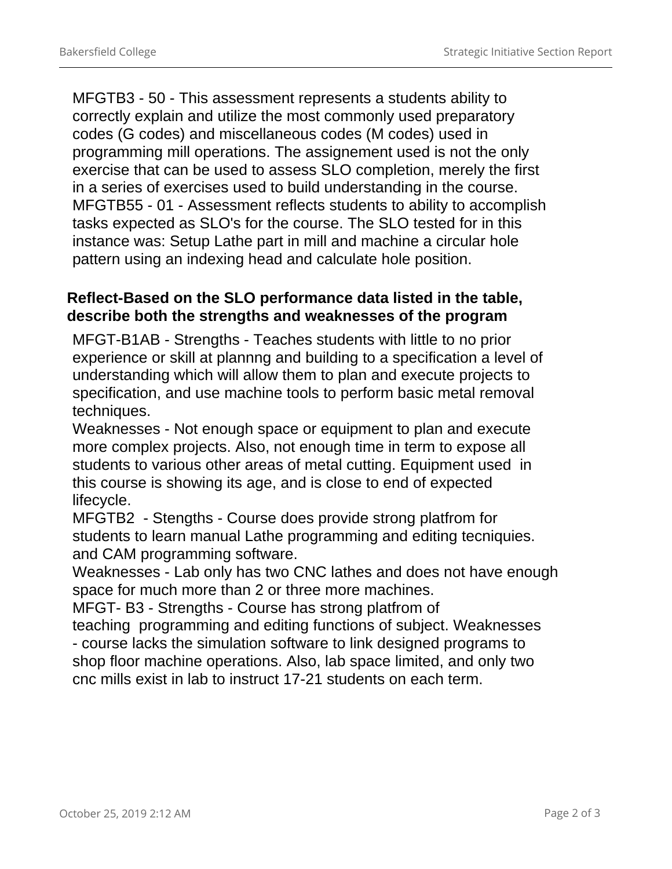MFGTB3 - 50 - This assessment represents a students ability to correctly explain and utilize the most commonly used preparatory codes (G codes) and miscellaneous codes (M codes) used in programming mill operations. The assignement used is not the only exercise that can be used to assess SLO completion, merely the first in a series of exercises used to build understanding in the course. MFGTB55 - 01 - Assessment reflects students to ability to accomplish tasks expected as SLO's for the course. The SLO tested for in this instance was: Setup Lathe part in mill and machine a circular hole pattern using an indexing head and calculate hole position.

#### **Reflect-Based on the SLO performance data listed in the table, describe both the strengths and weaknesses of the program**

MFGT-B1AB - Strengths - Teaches students with little to no prior experience or skill at plannng and building to a specification a level of understanding which will allow them to plan and execute projects to specification, and use machine tools to perform basic metal removal techniques.

Weaknesses - Not enough space or equipment to plan and execute more complex projects. Also, not enough time in term to expose all students to various other areas of metal cutting. Equipment used in this course is showing its age, and is close to end of expected lifecycle.

MFGTB2 - Stengths - Course does provide strong platfrom for students to learn manual Lathe programming and editing tecniquies. and CAM programming software.

Weaknesses - Lab only has two CNC lathes and does not have enough space for much more than 2 or three more machines.

MFGT- B3 - Strengths - Course has strong platfrom of

teaching programming and editing functions of subject. Weaknesses - course lacks the simulation software to link designed programs to shop floor machine operations. Also, lab space limited, and only two cnc mills exist in lab to instruct 17-21 students on each term.